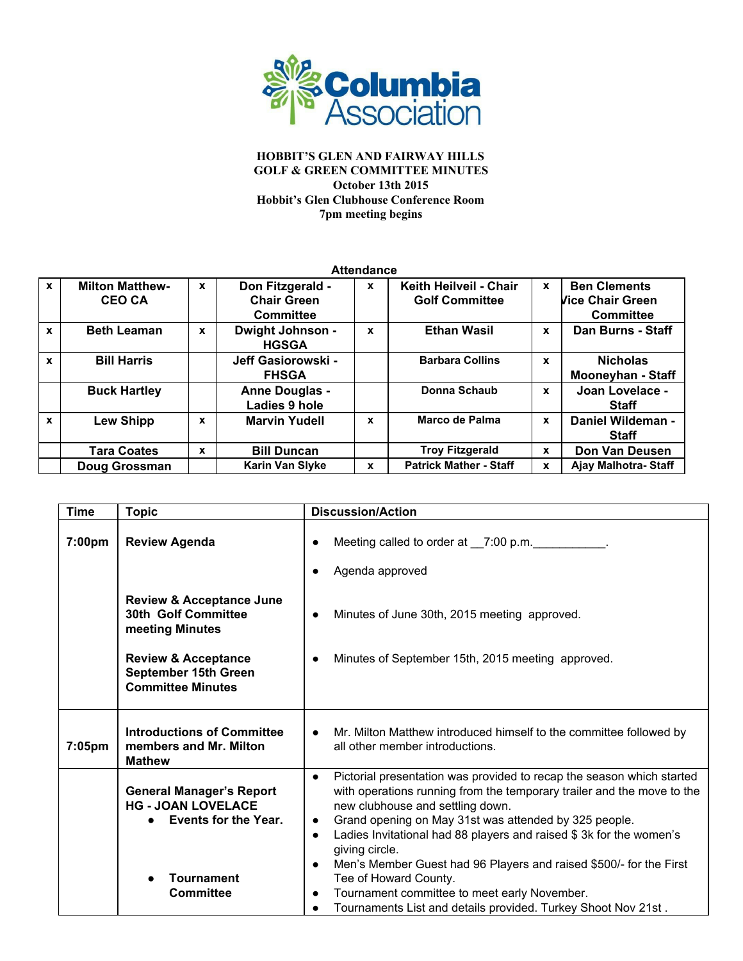

| <b>Attendance</b> |                                         |              |                                                            |              |                                                 |             |                                                                    |
|-------------------|-----------------------------------------|--------------|------------------------------------------------------------|--------------|-------------------------------------------------|-------------|--------------------------------------------------------------------|
| $\mathbf{x}$      | <b>Milton Matthew-</b><br><b>CEO CA</b> | $\mathbf{x}$ | Don Fitzgerald -<br><b>Chair Green</b><br><b>Committee</b> | $\mathbf{x}$ | Keith Heilveil - Chair<br><b>Golf Committee</b> | $\mathbf x$ | <b>Ben Clements</b><br><b>Vice Chair Green</b><br><b>Committee</b> |
| $\mathbf{x}$      | <b>Beth Leaman</b>                      | $\mathbf{x}$ | Dwight Johnson -<br><b>HGSGA</b>                           | X            | <b>Ethan Wasil</b>                              | x           | Dan Burns - Staff                                                  |
| $\mathbf{x}$      | <b>Bill Harris</b>                      |              | Jeff Gasiorowski -<br><b>FHSGA</b>                         |              | <b>Barbara Collins</b>                          | X           | <b>Nicholas</b><br><b>Mooneyhan - Staff</b>                        |
|                   | <b>Buck Hartley</b>                     |              | <b>Anne Douglas -</b><br>Ladies 9 hole                     |              | Donna Schaub                                    | x           | Joan Lovelace -<br><b>Staff</b>                                    |
| $\mathbf{x}$      | Lew Shipp                               | X            | <b>Marvin Yudell</b>                                       | X            | Marco de Palma                                  | X           | Daniel Wildeman -<br><b>Staff</b>                                  |
|                   | <b>Tara Coates</b>                      | $\mathbf x$  | <b>Bill Duncan</b>                                         |              | <b>Troy Fitzgerald</b>                          | X           | Don Van Deusen                                                     |
|                   | Doug Grossman                           |              | <b>Karin Van Slyke</b>                                     | x            | <b>Patrick Mather - Staff</b>                   | X           | Aiav Malhotra-Staff                                                |

| <b>Time</b> | <b>Topic</b>                                                                                                                  | <b>Discussion/Action</b>                                                                                                                                                                                                                                                                                                                                                                                                                                                                                                                             |  |  |
|-------------|-------------------------------------------------------------------------------------------------------------------------------|------------------------------------------------------------------------------------------------------------------------------------------------------------------------------------------------------------------------------------------------------------------------------------------------------------------------------------------------------------------------------------------------------------------------------------------------------------------------------------------------------------------------------------------------------|--|--|
| 7:00pm      | <b>Review Agenda</b>                                                                                                          | Meeting called to order at __7:00 p.m. ___________.<br>Agenda approved                                                                                                                                                                                                                                                                                                                                                                                                                                                                               |  |  |
|             | <b>Review &amp; Acceptance June</b><br>30th Golf Committee<br>meeting Minutes                                                 | Minutes of June 30th, 2015 meeting approved.<br>$\bullet$                                                                                                                                                                                                                                                                                                                                                                                                                                                                                            |  |  |
|             | <b>Review &amp; Acceptance</b><br>September 15th Green<br><b>Committee Minutes</b>                                            | Minutes of September 15th, 2015 meeting approved.                                                                                                                                                                                                                                                                                                                                                                                                                                                                                                    |  |  |
| 7:05pm      | <b>Introductions of Committee</b><br>members and Mr. Milton<br><b>Mathew</b>                                                  | Mr. Milton Matthew introduced himself to the committee followed by<br>$\bullet$<br>all other member introductions.                                                                                                                                                                                                                                                                                                                                                                                                                                   |  |  |
|             | <b>General Manager's Report</b><br><b>HG - JOAN LOVELACE</b><br>Events for the Year.<br><b>Tournament</b><br><b>Committee</b> | Pictorial presentation was provided to recap the season which started<br>$\bullet$<br>with operations running from the temporary trailer and the move to the<br>new clubhouse and settling down.<br>Grand opening on May 31st was attended by 325 people.<br>$\bullet$<br>Ladies Invitational had 88 players and raised \$3k for the women's<br>$\bullet$<br>giving circle.<br>Men's Member Guest had 96 Players and raised \$500/- for the First<br>$\bullet$<br>Tee of Howard County.<br>Tournament committee to meet early November.<br>$\bullet$ |  |  |
|             |                                                                                                                               | Tournaments List and details provided. Turkey Shoot Nov 21st.                                                                                                                                                                                                                                                                                                                                                                                                                                                                                        |  |  |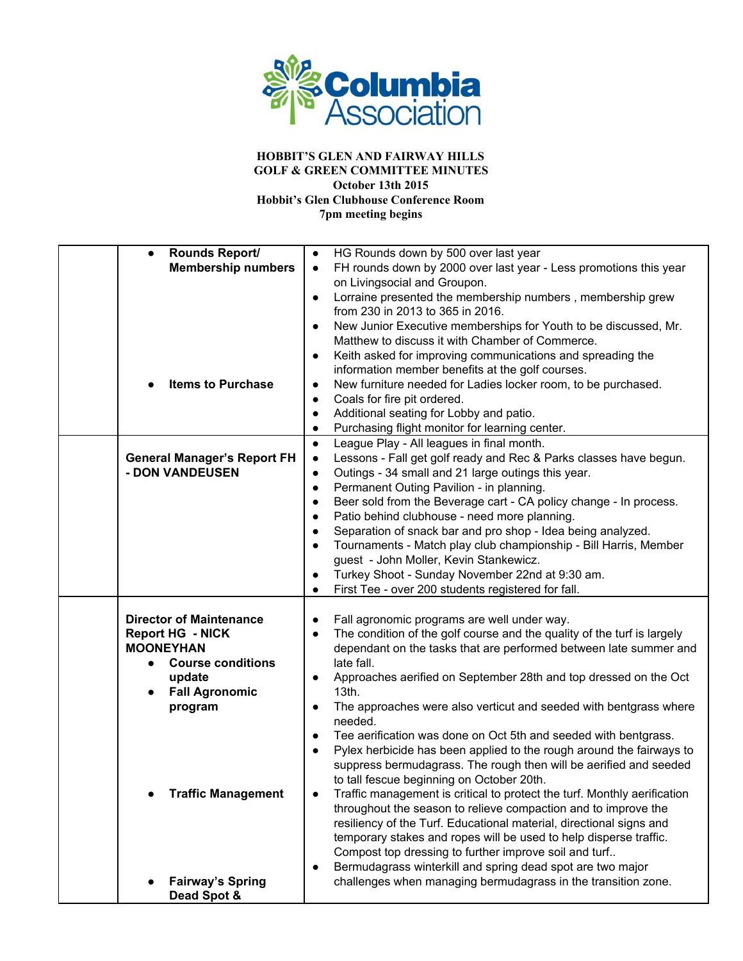

| Rounds Report/<br>$\bullet$            | HG Rounds down by 500 over last year<br>$\bullet$                                    |
|----------------------------------------|--------------------------------------------------------------------------------------|
| <b>Membership numbers</b>              | FH rounds down by 2000 over last year - Less promotions this year<br>$\bullet$       |
|                                        | on Livingsocial and Groupon.                                                         |
|                                        | Lorraine presented the membership numbers, membership grew<br>$\bullet$              |
|                                        | from 230 in 2013 to 365 in 2016.                                                     |
|                                        | New Junior Executive memberships for Youth to be discussed, Mr.                      |
|                                        | $\bullet$                                                                            |
|                                        | Matthew to discuss it with Chamber of Commerce.                                      |
|                                        | Keith asked for improving communications and spreading the<br>$\bullet$              |
|                                        | information member benefits at the golf courses.                                     |
| <b>Items to Purchase</b>               | New furniture needed for Ladies locker room, to be purchased.<br>$\bullet$           |
|                                        | Coals for fire pit ordered.<br>$\bullet$                                             |
|                                        | Additional seating for Lobby and patio.<br>$\bullet$                                 |
|                                        | Purchasing flight monitor for learning center.<br>$\bullet$                          |
|                                        | League Play - All leagues in final month.<br>$\bullet$                               |
| <b>General Manager's Report FH</b>     | Lessons - Fall get golf ready and Rec & Parks classes have begun.<br>$\bullet$       |
| - DON VANDEUSEN                        | Outings - 34 small and 21 large outings this year.<br>$\bullet$                      |
|                                        |                                                                                      |
|                                        | Permanent Outing Pavilion - in planning.<br>$\bullet$                                |
|                                        | Beer sold from the Beverage cart - CA policy change - In process.<br>$\bullet$       |
|                                        | Patio behind clubhouse - need more planning.<br>$\bullet$                            |
|                                        | Separation of snack bar and pro shop - Idea being analyzed.<br>$\bullet$             |
|                                        | Tournaments - Match play club championship - Bill Harris, Member<br>$\bullet$        |
|                                        | guest - John Moller, Kevin Stankewicz.                                               |
|                                        | Turkey Shoot - Sunday November 22nd at 9:30 am.                                      |
|                                        | First Tee - over 200 students registered for fall.<br>$\bullet$                      |
|                                        |                                                                                      |
| <b>Director of Maintenance</b>         | Fall agronomic programs are well under way.<br>$\bullet$                             |
| <b>Report HG - NICK</b>                | The condition of the golf course and the quality of the turf is largely<br>$\bullet$ |
| <b>MOONEYHAN</b>                       | dependant on the tasks that are performed between late summer and                    |
| <b>Course conditions</b><br>$\bullet$  | late fall.                                                                           |
|                                        |                                                                                      |
| update                                 | Approaches aerified on September 28th and top dressed on the Oct<br>$\bullet$        |
| <b>Fall Agronomic</b>                  | 13th.                                                                                |
| program                                | The approaches were also verticut and seeded with bentgrass where<br>$\bullet$       |
|                                        | needed.                                                                              |
|                                        | Tee aerification was done on Oct 5th and seeded with bentgrass.<br>$\bullet$         |
|                                        | Pylex herbicide has been applied to the rough around the fairways to<br>$\bullet$    |
|                                        | suppress bermudagrass. The rough then will be aerified and seeded                    |
|                                        | to tall fescue beginning on October 20th.                                            |
| <b>Traffic Management</b>              | Traffic management is critical to protect the turf. Monthly aerification             |
|                                        | throughout the season to relieve compaction and to improve the                       |
|                                        |                                                                                      |
|                                        |                                                                                      |
|                                        | resiliency of the Turf. Educational material, directional signs and                  |
|                                        | temporary stakes and ropes will be used to help disperse traffic.                    |
|                                        | Compost top dressing to further improve soil and turf                                |
|                                        | Bermudagrass winterkill and spring dead spot are two major<br>$\bullet$              |
| <b>Fairway's Spring</b><br>Dead Spot & | challenges when managing bermudagrass in the transition zone.                        |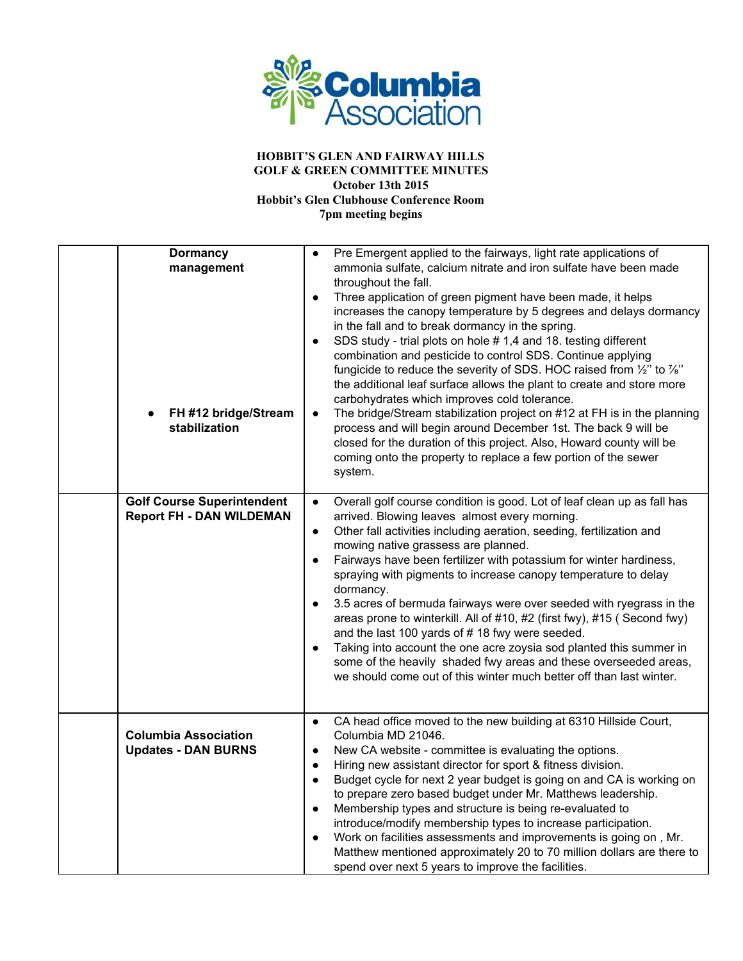

| <b>Dormancy</b><br>management<br>FH #12 bridge/Stream<br>stabilization | Pre Emergent applied to the fairways, light rate applications of<br>ammonia sulfate, calcium nitrate and iron sulfate have been made<br>throughout the fall.<br>Three application of green pigment have been made, it helps<br>$\bullet$<br>increases the canopy temperature by 5 degrees and delays dormancy<br>in the fall and to break dormancy in the spring.<br>SDS study - trial plots on hole #1,4 and 18. testing different<br>$\bullet$<br>combination and pesticide to control SDS. Continue applying<br>fungicide to reduce the severity of SDS. HOC raised from 1/2" to 1/8"<br>the additional leaf surface allows the plant to create and store more<br>carbohydrates which improves cold tolerance.<br>The bridge/Stream stabilization project on #12 at FH is in the planning<br>$\bullet$<br>process and will begin around December 1st. The back 9 will be<br>closed for the duration of this project. Also, Howard county will be<br>coming onto the property to replace a few portion of the sewer<br>system. |
|------------------------------------------------------------------------|----------------------------------------------------------------------------------------------------------------------------------------------------------------------------------------------------------------------------------------------------------------------------------------------------------------------------------------------------------------------------------------------------------------------------------------------------------------------------------------------------------------------------------------------------------------------------------------------------------------------------------------------------------------------------------------------------------------------------------------------------------------------------------------------------------------------------------------------------------------------------------------------------------------------------------------------------------------------------------------------------------------------------------|
| <b>Golf Course Superintendent</b><br><b>Report FH - DAN WILDEMAN</b>   | Overall golf course condition is good. Lot of leaf clean up as fall has<br>$\bullet$<br>arrived. Blowing leaves almost every morning.<br>Other fall activities including aeration, seeding, fertilization and<br>$\bullet$<br>mowing native grassess are planned.<br>Fairways have been fertilizer with potassium for winter hardiness,<br>$\bullet$<br>spraying with pigments to increase canopy temperature to delay<br>dormancy.<br>3.5 acres of bermuda fairways were over seeded with ryegrass in the<br>areas prone to winterkill. All of #10, #2 (first fwy), #15 (Second fwy)<br>and the last 100 yards of #18 fwy were seeded.<br>Taking into account the one acre zoysia sod planted this summer in<br>some of the heavily shaded fwy areas and these overseeded areas,<br>we should come out of this winter much better off than last winter.                                                                                                                                                                         |
| <b>Columbia Association</b><br><b>Updates - DAN BURNS</b>              | CA head office moved to the new building at 6310 Hillside Court,<br>$\bullet$<br>Columbia MD 21046.<br>New CA website - committee is evaluating the options.<br>$\bullet$<br>Hiring new assistant director for sport & fitness division.<br>$\bullet$<br>Budget cycle for next 2 year budget is going on and CA is working on<br>$\bullet$<br>to prepare zero based budget under Mr. Matthews leadership.<br>Membership types and structure is being re-evaluated to<br>$\bullet$<br>introduce/modify membership types to increase participation.<br>Work on facilities assessments and improvements is going on, Mr.<br>Matthew mentioned approximately 20 to 70 million dollars are there to<br>spend over next 5 years to improve the facilities.                                                                                                                                                                                                                                                                             |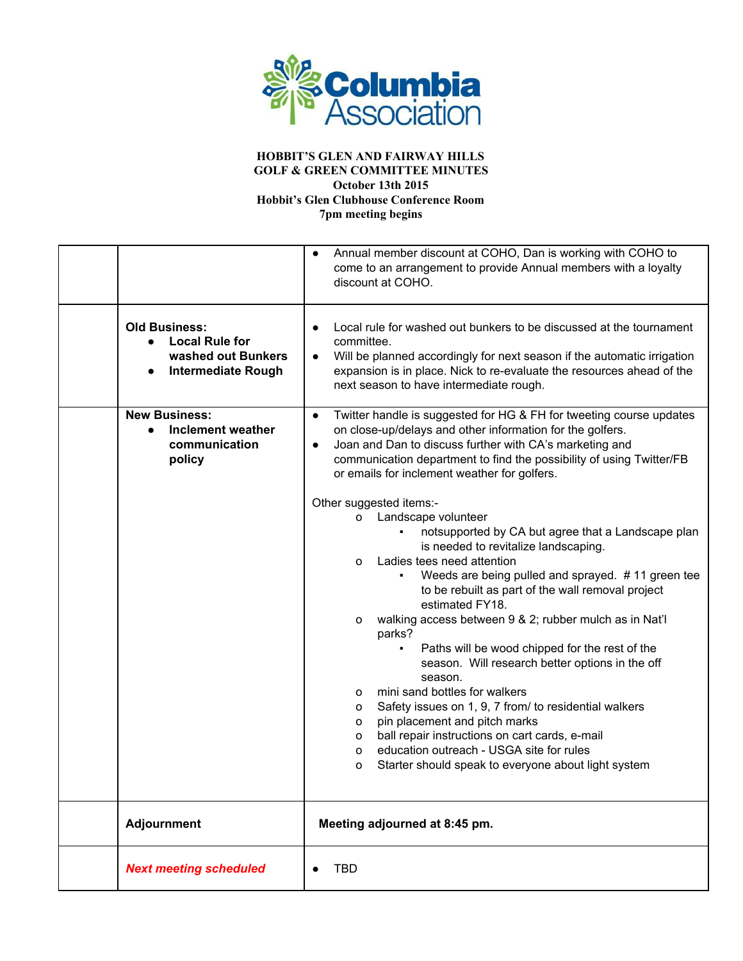

|                                                                                                               | Annual member discount at COHO, Dan is working with COHO to<br>$\bullet$<br>come to an arrangement to provide Annual members with a loyalty<br>discount at COHO.                                                                                                                                                                                                                                                                                       |  |  |  |
|---------------------------------------------------------------------------------------------------------------|--------------------------------------------------------------------------------------------------------------------------------------------------------------------------------------------------------------------------------------------------------------------------------------------------------------------------------------------------------------------------------------------------------------------------------------------------------|--|--|--|
| <b>Old Business:</b><br><b>Local Rule for</b><br>$\bullet$<br>washed out Bunkers<br><b>Intermediate Rough</b> | Local rule for washed out bunkers to be discussed at the tournament<br>$\bullet$<br>committee.<br>Will be planned accordingly for next season if the automatic irrigation<br>$\bullet$<br>expansion is in place. Nick to re-evaluate the resources ahead of the<br>next season to have intermediate rough.                                                                                                                                             |  |  |  |
| <b>New Business:</b><br>Inclement weather<br>$\bullet$<br>communication<br>policy                             | Twitter handle is suggested for HG & FH for tweeting course updates<br>$\bullet$<br>on close-up/delays and other information for the golfers.<br>Joan and Dan to discuss further with CA's marketing and<br>$\bullet$<br>communication department to find the possibility of using Twitter/FB<br>or emails for inclement weather for golfers.                                                                                                          |  |  |  |
|                                                                                                               | Other suggested items:-<br>Landscape volunteer<br>0<br>notsupported by CA but agree that a Landscape plan<br>is needed to revitalize landscaping.<br>Ladies tees need attention<br>o<br>Weeds are being pulled and sprayed. #11 green tee<br>to be rebuilt as part of the wall removal project<br>estimated FY18.<br>walking access between 9 & 2; rubber mulch as in Nat'l<br>0                                                                       |  |  |  |
|                                                                                                               | parks?<br>Paths will be wood chipped for the rest of the<br>$\blacksquare$<br>season. Will research better options in the off<br>season.<br>mini sand bottles for walkers<br>0<br>Safety issues on 1, 9, 7 from/ to residential walkers<br>о<br>pin placement and pitch marks<br>о<br>ball repair instructions on cart cards, e-mail<br>о<br>education outreach - USGA site for rules<br>o<br>Starter should speak to everyone about light system<br>o |  |  |  |
| <b>Adjournment</b>                                                                                            | Meeting adjourned at 8:45 pm.                                                                                                                                                                                                                                                                                                                                                                                                                          |  |  |  |
| <b>Next meeting scheduled</b>                                                                                 | <b>TBD</b>                                                                                                                                                                                                                                                                                                                                                                                                                                             |  |  |  |